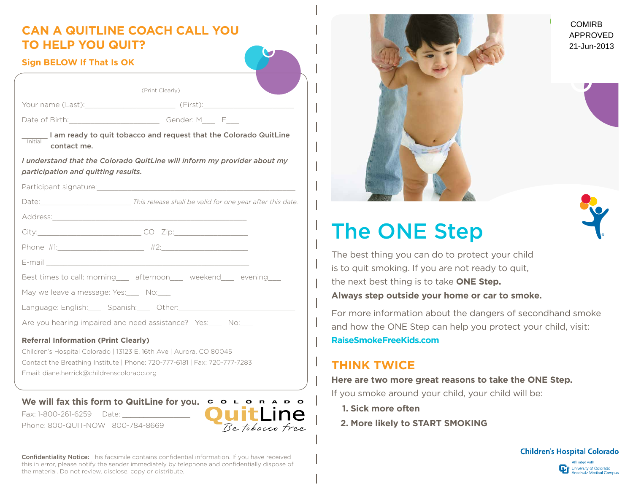## **Can A QuitLine Coach Call You To Help You Quit?**

### **Sign BELOW If That Is OK**

| (Print Clearly)                                                                                                                                                                                                                |
|--------------------------------------------------------------------------------------------------------------------------------------------------------------------------------------------------------------------------------|
|                                                                                                                                                                                                                                |
|                                                                                                                                                                                                                                |
| I am ready to quit tobacco and request that the Colorado QuitLine<br>Initial<br>contact me.                                                                                                                                    |
| I understand that the Colorado QuitLine will inform my provider about my<br>participation and quitting results.                                                                                                                |
| Participant signature: with a state of the contract of the contract of the contract of the contract of the contract of the contract of the contract of the contract of the contract of the contract of the contract of the con |
|                                                                                                                                                                                                                                |
|                                                                                                                                                                                                                                |
|                                                                                                                                                                                                                                |
|                                                                                                                                                                                                                                |
|                                                                                                                                                                                                                                |
| Best times to call: morning____ afternoon____ weekend____ evening___                                                                                                                                                           |
| May we leave a message: Yes: No:                                                                                                                                                                                               |
| Language: English: Spanish: Other: National Community Community Community Community Community Community Commun                                                                                                                 |
| Are you hearing impaired and need assistance? Yes: No:                                                                                                                                                                         |
| <b>Referral Information (Print Clearly)</b>                                                                                                                                                                                    |

Children's Hospital Colorado | 13123 E. 16th Ave | Aurora, CO 80045 Contact the Breathing Institute | Phone: 720-777-6181 | Fax: 720-777-7283 Email: diane.herrick@childrenscolorado.org

### We will fax this form to QuitLine for you.  $\overline{C}$  o  $\overline{C}$  o  $\overline{C}$  o  $\overline{C}$  o  $\overline{C}$

Fax: 1-800-261-6259 Date: Phone: 800-QUIT-NOW 800-784-8669





# **The ONE Step**



e best thing you can do to protect your child to quit smoking. If you are not ready to quit, e next best thing is to take **ONE Step. Always step outside your home or car to smoke.**

or more information about the dangers of secondhand smoke d how the ONE Step can help you protect your child, visit: **RaiseSmokeFreeKids.com**

### **Think Twice**

### **Here are two more great reasons to take the ONE Step.**

If you smoke around your child, your child will be:

- **1. Sick more often**
- **2. More likely to START SMOKING**





Confidentiality Notice: This facsimile contains confidential information. If you have received this in error, please notify the sender immediately by telephone and confidentially dispose of the material. Do not review, disclose, copy or distribute.